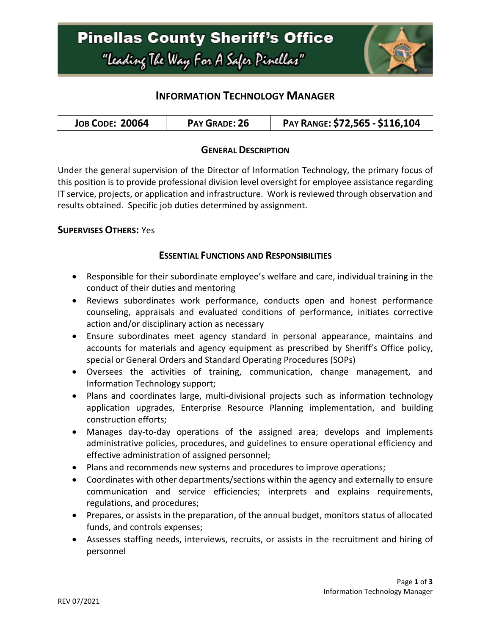

## **INFORMATION TECHNOLOGY MANAGER**

| <b>JOB CODE: 20064</b><br>PAY GRADE: 26 | PAY RANGE: \$72,565 - \$116,104 |
|-----------------------------------------|---------------------------------|
|-----------------------------------------|---------------------------------|

### **GENERAL DESCRIPTION**

Under the general supervision of the Director of Information Technology, the primary focus of this position is to provide professional division level oversight for employee assistance regarding IT service, projects, or application and infrastructure. Work is reviewed through observation and results obtained. Specific job duties determined by assignment.

#### **SUPERVISES OTHERS:** Yes

#### **ESSENTIAL FUNCTIONS AND RESPONSIBILITIES**

- Responsible for their subordinate employee's welfare and care, individual training in the conduct of their duties and mentoring
- Reviews subordinates work performance, conducts open and honest performance counseling, appraisals and evaluated conditions of performance, initiates corrective action and/or disciplinary action as necessary
- Ensure subordinates meet agency standard in personal appearance, maintains and accounts for materials and agency equipment as prescribed by Sheriff's Office policy, special or General Orders and Standard Operating Procedures (SOPs)
- Oversees the activities of training, communication, change management, and Information Technology support;
- Plans and coordinates large, multi-divisional projects such as information technology application upgrades, Enterprise Resource Planning implementation, and building construction efforts;
- Manages day-to-day operations of the assigned area; develops and implements administrative policies, procedures, and guidelines to ensure operational efficiency and effective administration of assigned personnel;
- Plans and recommends new systems and procedures to improve operations;
- Coordinates with other departments/sections within the agency and externally to ensure communication and service efficiencies; interprets and explains requirements, regulations, and procedures;
- Prepares, or assists in the preparation, of the annual budget, monitors status of allocated funds, and controls expenses;
- Assesses staffing needs, interviews, recruits, or assists in the recruitment and hiring of personnel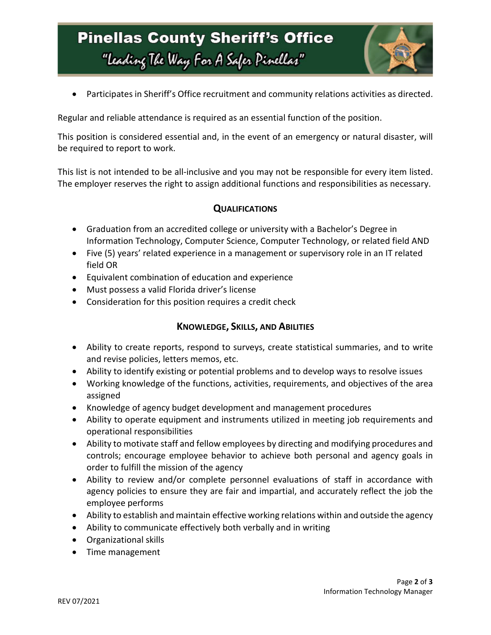# **Pinellas County Sheriff's Office** "Leading The Way For A Safer Pinellar"



• Participates in Sheriff's Office recruitment and community relations activities as directed.

Regular and reliable attendance is required as an essential function of the position.

This position is considered essential and, in the event of an emergency or natural disaster, will be required to report to work.

This list is not intended to be all-inclusive and you may not be responsible for every item listed. The employer reserves the right to assign additional functions and responsibilities as necessary.

### **QUALIFICATIONS**

- Graduation from an accredited college or university with a Bachelor's Degree in Information Technology, Computer Science, Computer Technology, or related field AND
- Five (5) years' related experience in a management or supervisory role in an IT related field OR
- Equivalent combination of education and experience
- Must possess a valid Florida driver's license
- Consideration for this position requires a credit check

### **KNOWLEDGE, SKILLS, AND ABILITIES**

- Ability to create reports, respond to surveys, create statistical summaries, and to write and revise policies, letters memos, etc.
- Ability to identify existing or potential problems and to develop ways to resolve issues
- Working knowledge of the functions, activities, requirements, and objectives of the area assigned
- Knowledge of agency budget development and management procedures
- Ability to operate equipment and instruments utilized in meeting job requirements and operational responsibilities
- Ability to motivate staff and fellow employees by directing and modifying procedures and controls; encourage employee behavior to achieve both personal and agency goals in order to fulfill the mission of the agency
- Ability to review and/or complete personnel evaluations of staff in accordance with agency policies to ensure they are fair and impartial, and accurately reflect the job the employee performs
- Ability to establish and maintain effective working relations within and outside the agency
- Ability to communicate effectively both verbally and in writing
- Organizational skills
- Time management